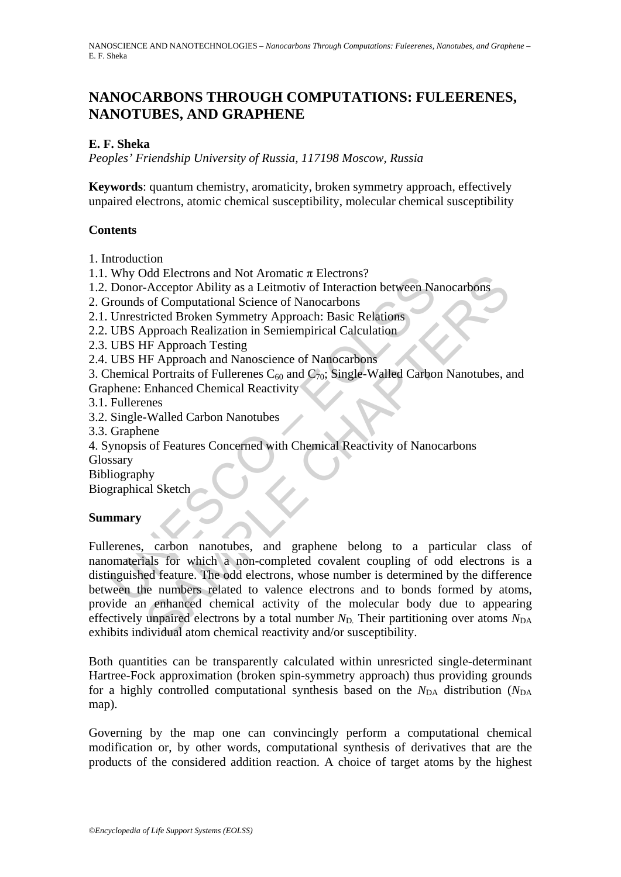# **NANOCARBONS THROUGH COMPUTATIONS: FULEERENES, NANOTUBES, AND GRAPHENE**

### **E. F. Sheka**

*Peoples' Friendship University of Russia, 117198 Moscow, Russia* 

**Keywords**: quantum chemistry, aromaticity, broken symmetry approach, effectively unpaired electrons, atomic chemical susceptibility, molecular chemical susceptibility

### **Contents**

1. Introduction

- 1.1. Why Odd Electrons and Not Aromatic  $\pi$  Electrons?
- 1.2. Donor-Acceptor Ability as a Leitmotiv of Interaction between Nanocarbons
- 2. Grounds of Computational Science of Nanocarbons
- 2.1. Unrestricted Broken Symmetry Approach: Basic Relations
- 2.2. UBS Approach Realization in Semiempirical Calculation
- 2.3. UBS HF Approach Testing
- 2.4. UBS HF Approach and Nanoscience of Nanocarbons

3. Chemical Portraits of Fullerenes  $C_{60}$  and  $C_{70}$ ; Single-Walled Carbon Nanotubes, and Graphene: Enhanced Chemical Reactivity

- 3.1. Fullerenes
- 3.2. Single-Walled Carbon Nanotubes
- 3.3. Graphene
- 4. Synopsis of Features Concerned with Chemical Reactivity of Nanocarbons Glossary
- Bibliography

Biographical Sketch

#### **Summary**

Why our Bections and Not Ardinate *A* Electrions<br>
Donor-Acceptor Ability as a Leitmotiv of Interaction between Na<br>
Drom-Acceptor Ability as a Leitmotiv of Interaction between Na<br>
UNESCONTIVE TRIGUAL SCONTING UNITS CONDUCT Nature Transmitter Tracetons and American Structure Traceton Ability as a Leilmotiv of Interaction between Nanocarbons<br>of Computational Science of Nanocarbons<br>of Computational Science of Nanocarbons<br>hypproach Realization Fullerenes, carbon nanotubes, and graphene belong to a particular class of nanomaterials for which a non-completed covalent coupling of odd electrons is a distinguished feature. The odd electrons, whose number is determined by the difference between the numbers related to valence electrons and to bonds formed by atoms, provide an enhanced chemical activity of the molecular body due to appearing effectively unpaired electrons by a total number  $N_D$ . Their partitioning over atoms  $N_{DA}$ exhibits individual atom chemical reactivity and/or susceptibility.

Both quantities can be transparently calculated within unresricted single-determinant Hartree-Fock approximation (broken spin-symmetry approach) thus providing grounds for a highly controlled computational synthesis based on the  $N_{DA}$  distribution ( $N_{DA}$ ) map).

Governing by the map one can convincingly perform a computational chemical modification or, by other words, computational synthesis of derivatives that are the products of the considered addition reaction. A choice of target atoms by the highest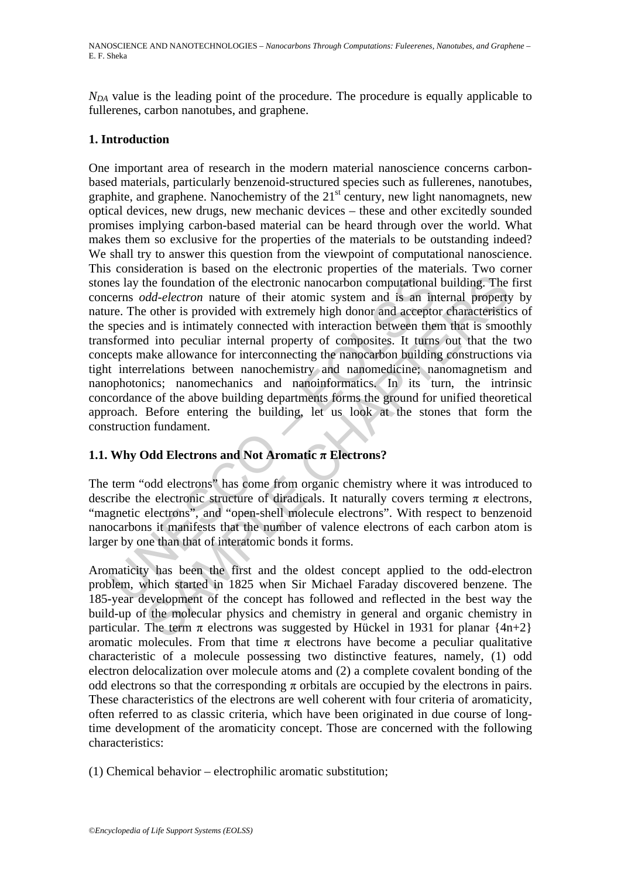*N<sub>DA</sub>* value is the leading point of the procedure. The procedure is equally applicable to fullerenes, carbon nanotubes, and graphene.

## **1. Introduction**

es lay the foundation of the electronic nanocarbon computational<br>cerns *odd-electron* nature of their atomic system and is an in<br>re. The other is provided with extremely high donor and accepto<br>species and is intimately c the foundation of the electronic nanocarbon computational building. The *dd-electron* nature of their atomic system and is an internal property of the is provided with stremely high donor and acceptor characteristic and i One important area of research in the modern material nanoscience concerns carbonbased materials, particularly benzenoid-structured species such as fullerenes, nanotubes, graphite, and graphene. Nanochemistry of the  $21<sup>st</sup>$  century, new light nanomagnets, new optical devices, new drugs, new mechanic devices – these and other excitedly sounded promises implying carbon-based material can be heard through over the world. What makes them so exclusive for the properties of the materials to be outstanding indeed? We shall try to answer this question from the viewpoint of computational nanoscience. This consideration is based on the electronic properties of the materials. Two corner stones lay the foundation of the electronic nanocarbon computational building. The first concerns *odd-electron* nature of their atomic system and is an internal property by nature. The other is provided with extremely high donor and acceptor characteristics of the species and is intimately connected with interaction between them that is smoothly transformed into peculiar internal property of composites. It turns out that the two concepts make allowance for interconnecting the nanocarbon building constructions via tight interrelations between nanochemistry and nanomedicine; nanomagnetism and nanophotonics; nanomechanics and nanoinformatics. In its turn, the intrinsic concordance of the above building departments forms the ground for unified theoretical approach. Before entering the building, let us look at the stones that form the construction fundament.

# **1.1. Why Odd Electrons and Not Aromatic**  $\pi$  **Electrons?**

The term "odd electrons" has come from organic chemistry where it was introduced to describe the electronic structure of diradicals. It naturally covers terming  $\pi$  electrons, "magnetic electrons", and "open-shell molecule electrons". With respect to benzenoid nanocarbons it manifests that the number of valence electrons of each carbon atom is larger by one than that of interatomic bonds it forms.

Aromaticity has been the first and the oldest concept applied to the odd-electron problem, which started in 1825 when Sir Michael Faraday discovered benzene. The 185-year development of the concept has followed and reflected in the best way the build-up of the molecular physics and chemistry in general and organic chemistry in particular. The term  $\pi$  electrons was suggested by Hückel in 1931 for planar {4n+2} aromatic molecules. From that time  $\pi$  electrons have become a peculiar qualitative characteristic of a molecule possessing two distinctive features, namely, (1) odd electron delocalization over molecule atoms and (2) a complete covalent bonding of the odd electrons so that the corresponding  $\pi$  orbitals are occupied by the electrons in pairs. These characteristics of the electrons are well coherent with four criteria of aromaticity, often referred to as classic criteria, which have been originated in due course of longtime development of the aromaticity concept. Those are concerned with the following characteristics:

(1) Chemical behavior – electrophilic aromatic substitution;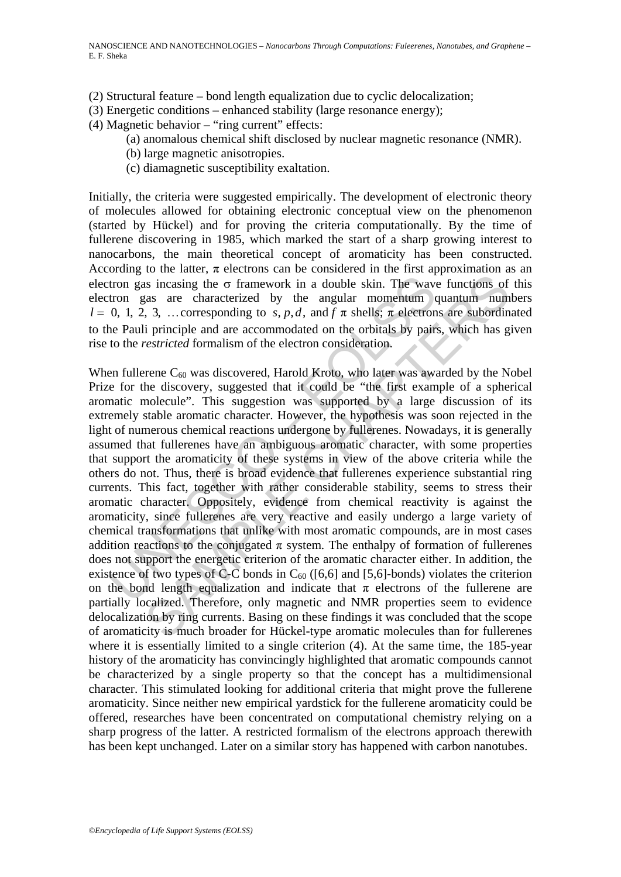- (2) Structural feature bond length equalization due to cyclic delocalization;
- (3) Energetic conditions enhanced stability (large resonance energy);
- (4) Magnetic behavior "ring current" effects:
	- (a) anomalous chemical shift disclosed by nuclear magnetic resonance (NMR).
	- (b) large magnetic anisotropies.
	- (c) diamagnetic susceptibility exaltation.

Initially, the criteria were suggested empirically. The development of electronic theory of molecules allowed for obtaining electronic conceptual view on the phenomenon (started by Hückel) and for proving the criteria computationally. By the time of fullerene discovering in 1985, which marked the start of a sharp growing interest to nanocarbons, the main theoretical concept of aromaticity has been constructed. According to the latter,  $\pi$  electrons can be considered in the first approximation as an electron gas incasing the  $\sigma$  framework in a double skin. The wave functions of this electron gas are characterized by the angular momentum quantum numbers *l* = 0, 1, 2, 3, ... corresponding to s, p, d, and f  $\pi$  shells;  $\pi$  electrons are subordinated to the Pauli principle and are accommodated on the orbitals by pairs, which has given rise to the *restricted* formalism of the electron consideration.

tron gas incasing the σ framework in a double skin. The wave<br>tron gas are characterized by the angular momentum o<br>0, 1, 2, 3, ... corresponding to *s*, *p*, *d*, and *f π* shells, *π* electron<br>e Pauli principle and are is incasing the  $\sigma$  framework in a double skin. The wave functions of<br>as are characterized by the angular momentum quantum num<br>3, 3, ... corresponding to s, p, d, and  $f \pi$  shells;  $\pi$  eleetrons are subordin<br>in principl When fullerene  $C_{60}$  was discovered, Harold Kroto, who later was awarded by the Nobel Prize for the discovery, suggested that it could be "the first example of a spherical aromatic molecule". This suggestion was supported by a large discussion of its extremely stable aromatic character. However, the hypothesis was soon rejected in the light of numerous chemical reactions undergone by fullerenes. Nowadays, it is generally assumed that fullerenes have an ambiguous aromatic character, with some properties that support the aromaticity of these systems in view of the above criteria while the others do not. Thus, there is broad evidence that fullerenes experience substantial ring currents. This fact, together with rather considerable stability, seems to stress their aromatic character. Oppositely, evidence from chemical reactivity is against the aromaticity, since fullerenes are very reactive and easily undergo a large variety of chemical transformations that unlike with most aromatic compounds, are in most cases addition reactions to the conjugated  $\pi$  system. The enthalpy of formation of fullerenes does not support the energetic criterion of the aromatic character either. In addition, the existence of two types of C-C bonds in  $C_{60}$  ([6,6] and [5,6]-bonds) violates the criterion on the bond length equalization and indicate that  $\pi$  electrons of the fullerene are partially localized. Therefore, only magnetic and NMR properties seem to evidence delocalization by ring currents. Basing on these findings it was concluded that the scope of aromaticity is much broader for Hückel-type aromatic molecules than for fullerenes where it is essentially limited to a single criterion (4). At the same time, the 185-year history of the aromaticity has convincingly highlighted that aromatic compounds cannot be characterized by a single property so that the concept has a multidimensional character. This stimulated looking for additional criteria that might prove the fullerene aromaticity. Since neither new empirical yardstick for the fullerene aromaticity could be offered, researches have been concentrated on computational chemistry relying on a sharp progress of the latter. A restricted formalism of the electrons approach therewith has been kept unchanged. Later on a similar story has happened with carbon nanotubes.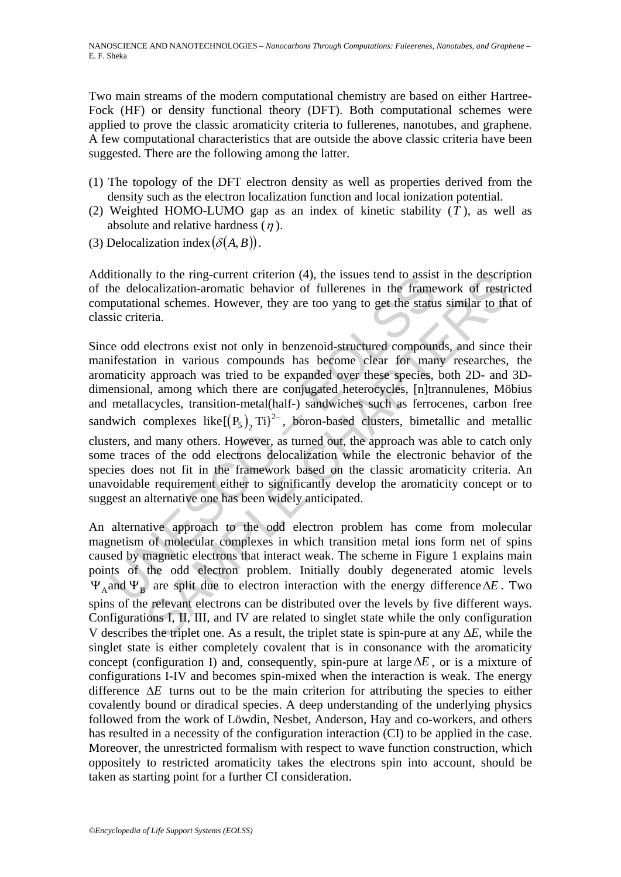Two main streams of the modern computational chemistry are based on either Hartree-Fock (HF) or density functional theory (DFT). Both computational schemes were applied to prove the classic aromaticity criteria to fullerenes, nanotubes, and graphene. A few computational characteristics that are outside the above classic criteria have been suggested. There are the following among the latter.

- (1) The topology of the DFT electron density as well as properties derived from the density such as the electron localization function and local ionization potential.
- (2) Weighted HOMO-LUMO gap as an index of kinetic stability (*T* ), as well as absolute and relative hardness  $(\eta)$ .
- (3) Delocalization index  $(\delta(A, B))$ .

Additionally to the ring-current criterion (4), the issues tend to assist in the description of the delocalization-aromatic behavior of fullerenes in the framework of restricted computational schemes. However, they are too yang to get the status similar to that of classic criteria.

unonally to the mig-current criterion (4), the issues tend to assist<br>the delocalization-aromatic behavior of fullerenes in the frame<br>putational schemes. However, they are too yang to get the statu<br>since criteria.<br>Exercite by to the mig-current criterion (4), the issues fend to assist in the descriptabilition-aromatic behavior of fullerenes in the framework of restri-<br>poalization-aromatic behavior of fullerenes in the framework of restri-<br>e Since odd electrons exist not only in benzenoid-structured compounds, and since their manifestation in various compounds has become clear for many researches, the aromaticity approach was tried to be expanded over these species, both 2D- and 3Ddimensional, among which there are conjugated heterocycles, [n]trannulenes, Möbius and metallacycles, transition-metal(half-) sandwiches such as ferrocenes, carbon free sandwich complexes like $\left[ \left( P_5 \right)_2 \text{Ti} \right)^2$ , boron-based clusters, bimetallic and metallic clusters, and many others. However, as turned out, the approach was able to catch only some traces of the odd electrons delocalization while the electronic behavior of the species does not fit in the framework based on the classic aromaticity criteria. An unavoidable requirement either to significantly develop the aromaticity concept or to suggest an alternative one has been widely anticipated.

An alternative approach to the odd electron problem has come from molecular magnetism of molecular complexes in which transition metal ions form net of spins caused by magnetic electrons that interact weak. The scheme in Figure 1 explains main points of the odd electron problem. Initially doubly degenerated atomic levels  $\Psi_A$  and  $\Psi_B$  are split due to electron interaction with the energy difference  $\Delta E$ . Two spins of the relevant electrons can be distributed over the levels by five different ways. Configurations I, II, III, and IV are related to singlet state while the only configuration V describes the triplet one. As a result, the triplet state is spin-pure at any Δ*E*, while the singlet state is either completely covalent that is in consonance with the aromaticity concept (configuration I) and, consequently, spin-pure at largeΔ*E* , or is a mixture of configurations I-IV and becomes spin-mixed when the interaction is weak. The energy difference  $\Delta E$  turns out to be the main criterion for attributing the species to either covalently bound or diradical species. A deep understanding of the underlying physics followed from the work of Löwdin, Nesbet, Anderson, Hay and co-workers, and others has resulted in a necessity of the configuration interaction (CI) to be applied in the case. Moreover, the unrestricted formalism with respect to wave function construction, which oppositely to restricted aromaticity takes the electrons spin into account, should be taken as starting point for a further CI consideration.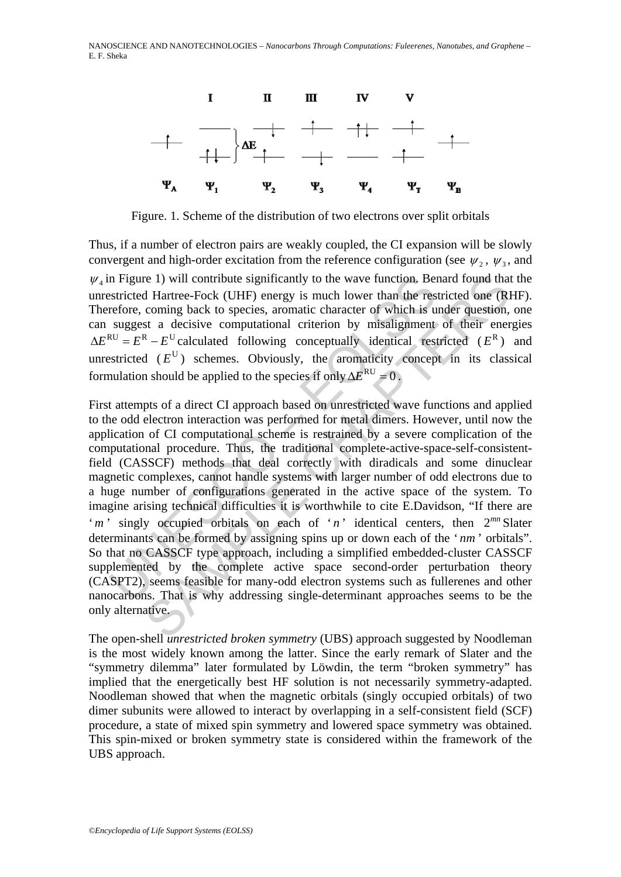NANOSCIENCE AND NANOTECHNOLOGIES – *Nanocarbons Through Computations: Fuleerenes, Nanotubes, and Graphene* – E. F. Sheka



Figure. 1. Scheme of the distribution of two electrons over split orbitals

Thus, if a number of electron pairs are weakly coupled, the CI expansion will be slowly convergent and high-order excitation from the reference configuration (see  $\psi_2$ ,  $\psi_3$ , and  $\psi_i$  in Figure 1) will contribute significantly to the wave function. Benard found that the unrestricted Hartree-Fock (UHF) energy is much lower than the restricted one (RHF). Therefore, coming back to species, aromatic character of which is under question, one can suggest a decisive computational criterion by misalignment of their energies  $\Delta E^{RU} = E^R - E^U$  calculated following conceptually identical restricted ( $E^R$ ) and unrestricted  $(E^U)$  schemes. Obviously, the aromaticity concept in its classical formulation should be applied to the species if only  $\Delta E^{\text{RU}} = 0$ .

in Figure 1) will contribute significantly to the wave function. Bestricted Hartree-Fock (UHF) energy is much lower than the respective computation of which is suggest a decisive computational criterion by misaligmment su in a Hartree-Fock (UHF) energy is much lower function. Benard found that<br>Hartree-Fock (UHF) energy is much lower than the restricted one (R<br>
coming back to species, aromatic character of which is under question,<br>
st a dec First attempts of a direct CI approach based on unrestricted wave functions and applied to the odd electron interaction was performed for metal dimers. However, until now the application of CI computational scheme is restrained by a severe complication of the computational procedure. Thus, the traditional complete-active-space-self-consistentfield (CASSCF) methods that deal correctly with diradicals and some dinuclear magnetic complexes, cannot handle systems with larger number of odd electrons due to a huge number of configurations generated in the active space of the system. To imagine arising technical difficulties it is worthwhile to cite E.Davidson, "If there are '*m*' singly occupied orbitals on each of '*n*' identical centers, then  $2^{mn}$  Slater determinants can be formed by assigning spins up or down each of the ' *nm* ' orbitals". So that no CASSCF type approach, including a simplified embedded-cluster CASSCF supplemented by the complete active space second-order perturbation theory (CASPT2), seems feasible for many-odd electron systems such as fullerenes and other nanocarbons. That is why addressing single-determinant approaches seems to be the only alternative.

The open-shell *unrestricted broken symmetry* (UBS) approach suggested by Noodleman is the most widely known among the latter. Since the early remark of Slater and the "symmetry dilemma" later formulated by Löwdin, the term "broken symmetry" has implied that the energetically best HF solution is not necessarily symmetry-adapted. Noodleman showed that when the magnetic orbitals (singly occupied orbitals) of two dimer subunits were allowed to interact by overlapping in a self-consistent field (SCF) procedure, a state of mixed spin symmetry and lowered space symmetry was obtained. This spin-mixed or broken symmetry state is considered within the framework of the UBS approach.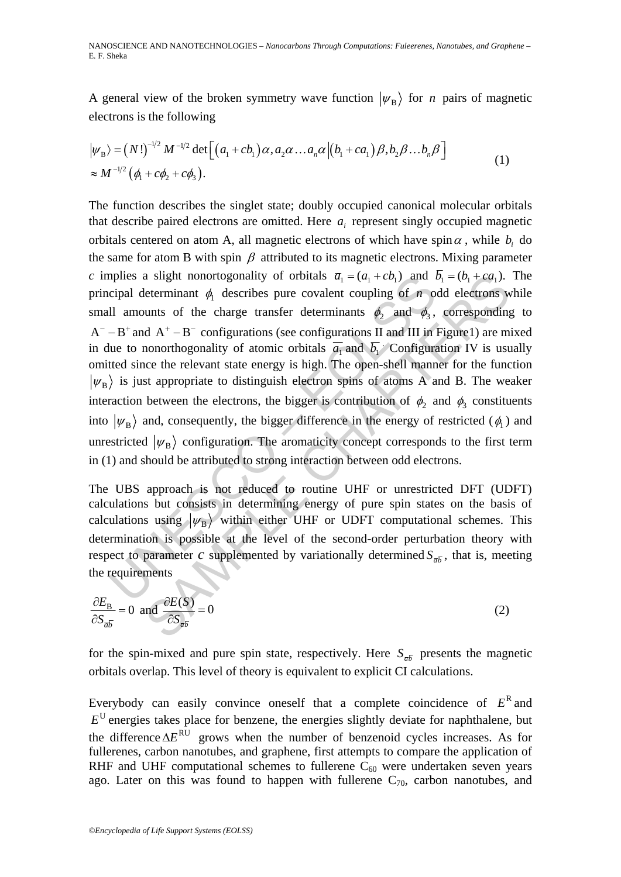A general view of the broken symmetry wave function  $|\psi_B\rangle$  for *n* pairs of magnetic electrons is the following

$$
|\psi_{\rm B}\rangle = (N!)^{-1/2} M^{-1/2} \det \Big[ \big( a_1 + cb_1 \big) \alpha, a_2 \alpha \dots a_n \alpha \Big| \big( b_1 + ca_1 \big) \beta, b_2 \beta \dots b_n \beta \Big] \approx M^{-1/2} \big( \phi_1 + c \phi_2 + c \phi_3 \big).
$$
 (1)

a slight nonortogonality of orbitals  $\overline{a}_1 = (a_1 + cb_1)$  and l<br>cipal determinant  $\phi_1$  describes pure covalent coupling of n on<br>Il amounts of the charge transfer determinants  $\phi_2$  and  $\phi_3$ ,<br> $-B^+$  and  $A^+ - B^-$  configu a slight nonortogonality of orbitals  $a_1 = (a_1 + cb_1)$  and  $b_1 = (b_1 + ca_1)$ .<br>
leterminant  $\phi_1$  describes pure covalent coupling of  $\pi$  odd electrons w<br>
unts of the charge transfer determinants  $\phi_2$  and  $\phi_3$ , correspon The function describes the singlet state; doubly occupied canonical molecular orbitals that describe paired electrons are omitted. Here  $a_i$  represent singly occupied magnetic orbitals centered on atom A, all magnetic electrons of which have spin $\alpha$ , while  $b_i$  do the same for atom B with spin  $\beta$  attributed to its magnetic electrons. Mixing parameter *c* implies a slight nonortogonality of orbitals  $\overline{a}_1 = (a_1 + cb_1)$  and  $\overline{b}_1 = (b_1 + ca_1)$ . The principal determinant  $\phi_1$  describes pure covalent coupling of  $n$  odd electrons while small amounts of the charge transfer determinants  $\phi_2$  and  $\phi_3$ , corresponding to  $A^- - B^+$  and  $A^+ - B^-$  configurations (see configurations II and III in Figure1) are mixed in due to nonorthogonality of atomic orbitals  $\overline{a_1}$  and  $\overline{b_1}$ . Configuration IV is usually omitted since the relevant state energy is high. The open-shell manner for the function  $|\psi_B\rangle$  is just appropriate to distinguish electron spins of atoms A and B. The weaker interaction between the electrons, the bigger is contribution of  $\phi_2$  and  $\phi_3$  constituents into  $|\psi_B\rangle$  and, consequently, the bigger difference in the energy of restricted ( $\phi_1$ ) and unrestricted  $|\psi_B\rangle$  configuration. The aromaticity concept corresponds to the first term in (1) and should be attributed to strong interaction between odd electrons.

The UBS approach is not reduced to routine UHF or unrestricted DFT (UDFT) calculations but consists in determining energy of pure spin states on the basis of calculations using  $|\psi_B\rangle$  within either UHF or UDFT computational schemes. This determination is possible at the level of the second-order perturbation theory with respect to parameter *c* supplemented by variationally determined  $S_{\overline{ab}}$ , that is, meeting the requirements

$$
\frac{\partial E_{\rm B}}{\partial S_{\bar{a}\bar{b}}} = 0 \text{ and } \frac{\partial E(S)}{\partial S_{\bar{a}\bar{b}}} = 0 \tag{2}
$$

for the spin-mixed and pure spin state, respectively. Here  $S_{\overline{ab}}$  presents the magnetic orbitals overlap. This level of theory is equivalent to explicit CI calculations.

Everybody can easily convince oneself that a complete coincidence of  $E<sup>R</sup>$  and  $E^U$  energies takes place for benzene, the energies slightly deviate for naphthalene, but the difference  $\Delta E^{RU}$  grows when the number of benzenoid cycles increases. As for fullerenes, carbon nanotubes, and graphene, first attempts to compare the application of RHF and UHF computational schemes to fullerene  $C_{60}$  were undertaken seven years ago. Later on this was found to happen with fullerene  $C_{70}$ , carbon nanotubes, and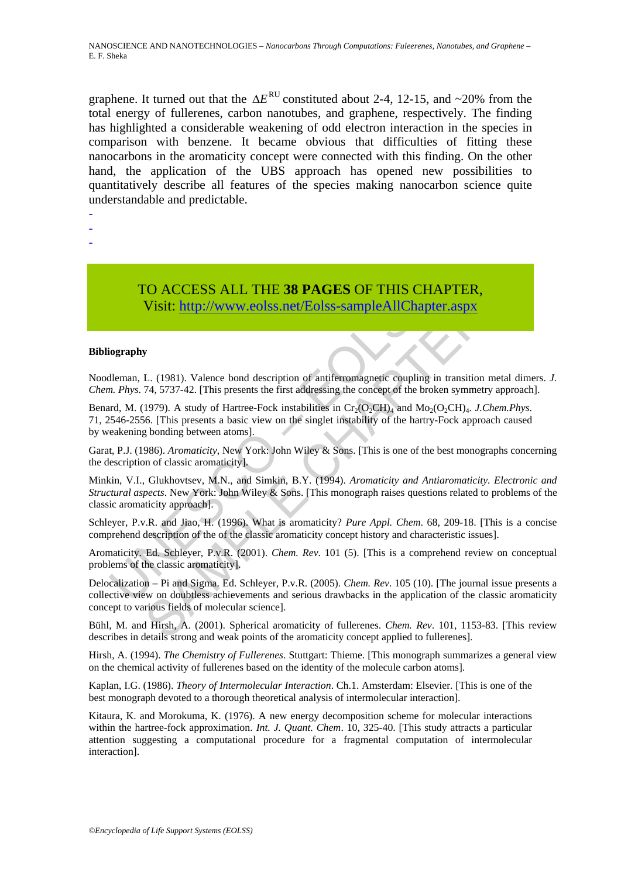graphene. It turned out that the  $\Delta E^{RU}$  constituted about 2-4, 12-15, and ~20% from the total energy of fullerenes, carbon nanotubes, and graphene, respectively. The finding has highlighted a considerable weakening of odd electron interaction in the species in comparison with benzene. It became obvious that difficulties of fitting these nanocarbons in the aromaticity concept were connected with this finding. On the other hand, the application of the UBS approach has opened new possibilities to quantitatively describe all features of the species making nanocarbon science quite understandable and predictable.

- -
- -
- TO ACCESS ALL THE **38 PAGES** OF THIS CHAPTER, Visit: http://www.eolss.net/Eolss-sampleAllChapter.aspx

#### **Bibliography**

Noodleman, L. (1981). Valence bond description of antiferromagnetic coupling in transition metal dimers. *J. Chem. Phys*. 74, 5737-42. [This presents the first addressing the concept of the broken symmetry approach].

**TO ACCESS ALL THE 38 PAGES OF THIS CH**<br>Visit: http://www.eolss.net/Eolss-sampleAllChapte<br>iography<br>dieman, L. (1981). Valence bond description of antiferromagnetic coupling in.<br>*Phys.* 74, 5737-42. [This presents the firs CO ACCESS ALL THE 38 PAGES OF THIS CHAPTER,<br>Visit:  $\frac{1}{2}$  http://www.eolss.net/Folss-sampleAllChapter.aspx<br>
F. (1981). Valence bond description of antiferromagnetic coupling in transition metal<br>
1979). A study of Hartr Benard, M. (1979). A study of Hartree-Fock instabilities in  $Cr_2(O_2CH)_4$  and  $Mo_2(O_2CH)_4$ . *J. Chem. Phys.* 71, 2546-2556. [This presents a basic view on the singlet instability of the hartry-Fock approach caused by weakening bonding between atoms].

Garat, P.J. (1986). *Aromaticity*, New York: John Wiley & Sons. [This is one of the best monographs concerning the description of classic aromaticity].

Minkin, V.I., Glukhovtsev, M.N., and Simkin, B.Y. (1994). *Aromaticity and Antiaromaticity. Electronic and Structural aspects*. New York: John Wiley & Sons. [This monograph raises questions related to problems of the classic aromaticity approach].

Schleyer, P.v.R. and Jiao, H. (1996). What is aromaticity? *Pure Appl. Chem*. 68, 209-18. [This is a concise comprehend description of the of the classic aromaticity concept history and characteristic issues].

Aromaticity. Ed. Schleyer, P.v.R. (2001). *Chem. Rev*. 101 (5). [This is a comprehend review on conceptual problems of the classic aromaticity].

Delocalization – Pi and Sigma. Ed. Schleyer, P.v.R. (2005). *Chem. Rev*. 105 (10). [The journal issue presents a collective view on doubtless achievements and serious drawbacks in the application of the classic aromaticity concept to various fields of molecular science].

Bühl, M. and Hirsh, A. (2001). Spherical aromaticity of fullerenes. *Chem. Rev*. 101, 1153-83. [This review describes in details strong and weak points of the aromaticity concept applied to fullerenes].

Hirsh, A. (1994). *The Chemistry of Fullerenes*. Stuttgart: Thieme. [This monograph summarizes a general view on the chemical activity of fullerenes based on the identity of the molecule carbon atoms].

Kaplan, I.G. (1986). *Theory of Intermolecular Interaction*. Ch.1. Amsterdam: Elsevier. [This is one of the best monograph devoted to a thorough theoretical analysis of intermolecular interaction].

Kitaura, K. and Morokuma, K. (1976). A new energy decomposition scheme for molecular interactions within the hartree-fock approximation. *Int. J. Quant. Chem.* 10, 325-40. [This study attracts a particular attention suggesting a computational procedure for a fragmental computation of intermolecular interaction].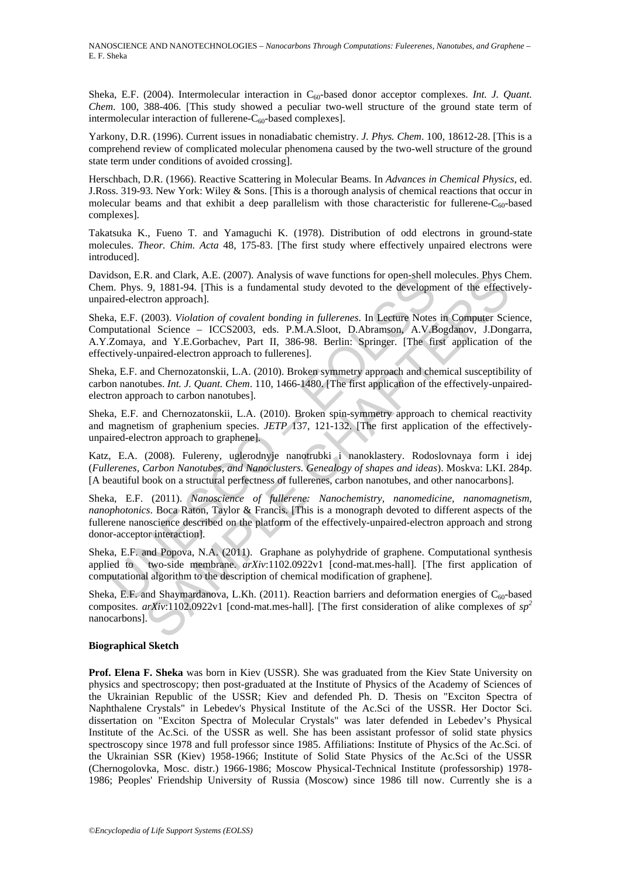NANOSCIENCE AND NANOTECHNOLOGIES – *Nanocarbons Through Computations: Fuleerenes, Nanotubes, and Graphene* – E. F. Sheka

Sheka, E.F. (2004). Intermolecular interaction in C<sub>60</sub>-based donor acceptor complexes. *Int. J. Quant. Chem*. 100, 388-406. [This study showed a peculiar two-well structure of the ground state term of intermolecular interaction of fullerene- $C_{60}$ -based complexes].

Yarkony, D.R. (1996). Current issues in nonadiabatic chemistry. *J. Phys. Chem*. 100, 18612-28. [This is a comprehend review of complicated molecular phenomena caused by the two-well structure of the ground state term under conditions of avoided crossing].

Herschbach, D.R. (1966). Reactive Scattering in Molecular Beams. In *Advances in Chemical Physics*, ed. J.Ross. 319-93. New York: Wiley & Sons. [This is a thorough analysis of chemical reactions that occur in molecular beams and that exhibit a deep parallelism with those characteristic for fullerene- $C_{60}$ -based complexes].

Takatsuka K., Fueno T. and Yamaguchi K. (1978). Distribution of odd electrons in ground-state molecules. *Theor. Chim. Acta* 48, 175-83. [The first study where effectively unpaired electrons were introduced].

Davidson, E.R. and Clark, A.E. (2007). Analysis of wave functions for open-shell molecules. Phys Chem. Chem. Phys. 9, 1881-94. [This is a fundamental study devoted to the development of the effectivelyunpaired-electron approach].

dson, E.R. and Clark, A.E. (2007). Analysis of wave functions for open-shell r<br>n. Phys. 9, 1881-94. [This is a fundamental study devoted to the developm<br>ired-electron approach].<br>a, E.F. (2003). *Violation of covalent bondi* R. and Charl, A.E. (2007). Analysis of wave functions for open-shell molecules. Phys C<br>
9, 1881-94. [This is a fundamental study devoted to the development of the effective<br>
tron approach].<br>
2003). *Violation of covalent* Sheka, E.F. (2003). *Violation of covalent bonding in fullerenes*. In Lecture Notes in Computer Science, Computational Science – ICCS2003, eds. P.M.A.Sloot, D.Abramson, A.V.Bogdanov, J.Dongarra, A.Y.Zomaya, and Y.E.Gorbachev, Part II, 386-98. Berlin: Springer. [The first application of the effectively-unpaired-electron approach to fullerenes].

Sheka, E.F. and Chernozatonskii, L.A. (2010). Broken symmetry approach and chemical susceptibility of carbon nanotubes. *Int. J. Quant. Chem*. 110, 1466-1480. [The first application of the effectively-unpairedelectron approach to carbon nanotubes].

Sheka, E.F. and Chernozatonskii, L.A. (2010). Broken spin-symmetry approach to chemical reactivity and magnetism of graphenium species. *JETP* 137, 121-132. [The first application of the effectivelyunpaired-electron approach to graphene].

Katz, Е.А. (2008). Fulereny, uglerodnyje nanotrubki i nanoklastery. Rodoslovnaya form i idej (*Fullerenes, Carbon Nanotubes, and Nanoclusters. Genealogy of shapes and ideas*). Moskva: LKI. 284p. [A beautiful book on a structural perfectness of fullerenes, carbon nanotubes, and other nanocarbons].

Sheka, E.F. (2011). *Nanoscience of fullerene: Nanochemistry, nanomedicine, nanomagnetism, nanophotonics*. Boca Raton, Taylor & Francis. [This is a monograph devoted to different aspects of the fullerene nanoscience described on the platform of the effectively-unpaired-electron approach and strong donor-acceptor interaction].

Sheka, E.F. and Popova, N.A. (2011). Graphane as polyhydride of graphene. Computational synthesis applied to two-side membrane. *arXiv*:1102.0922v1 [cond-mat.mes-hall]. [The first application of computational algorithm to the description of chemical modification of graphene].

Sheka, E.F. and Shaymardanova, L.Kh. (2011). Reaction barriers and deformation energies of  $C_{60}$ -based composites. *arXiv*:1102.0922v1 [cond-mat.mes-hall]. [The first consideration of alike complexes of *sp<sup>2</sup>* nanocarbons].

#### **Biographical Sketch**

**Prof. Elena F. Sheka** was born in Kiev (USSR). She was graduated from the Kiev State University on physics and spectroscopy; then post-graduated at the Institute of Physics of the Academy of Sciences of the Ukrainian Republic of the USSR; Kiev and defended Ph. D. Thesis on "Exciton Spectra of Naphthalene Crystals" in Lebedev's Physical Institute of the Ac.Sci of the USSR. Her Doctor Sci. dissertation on "Exciton Spectra of Molecular Crystals" was later defended in Lebedev's Physical Institute of the Ac.Sci. of the USSR as well. She has been assistant professor of solid state physics spectroscopy since 1978 and full professor since 1985. Affiliations: Institute of Physics of the Ac.Sci. of the Ukrainian SSR (Kiev) 1958-1966; Institute of Solid State Physics of the Ac.Sci of the USSR (Chernogolovka, Mosc. distr.) 1966-1986; Moscow Physical-Technical Institute (professorship) 1978- 1986; Peoples' Friendship University of Russia (Moscow) since 1986 till now. Currently she is a